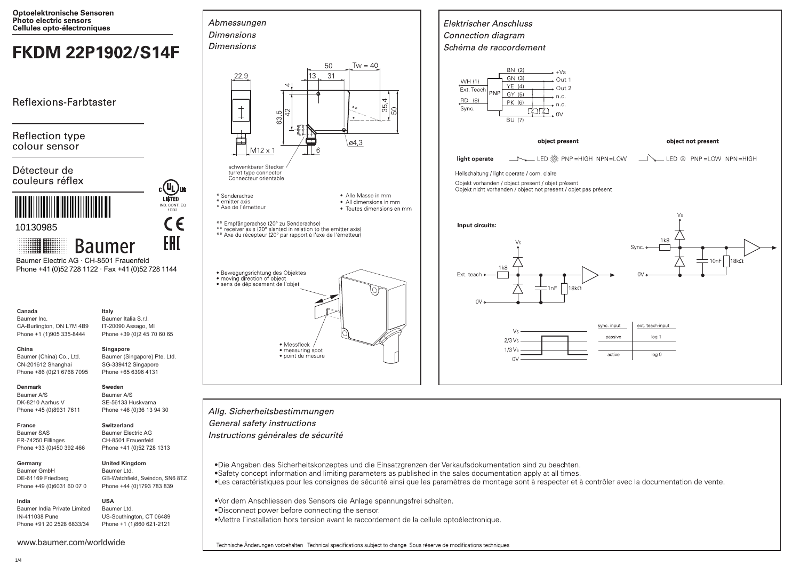

Technische Änderungen vorbehalten Technical specifications subject to change Sous réserve de modifications techniques

 $1/4$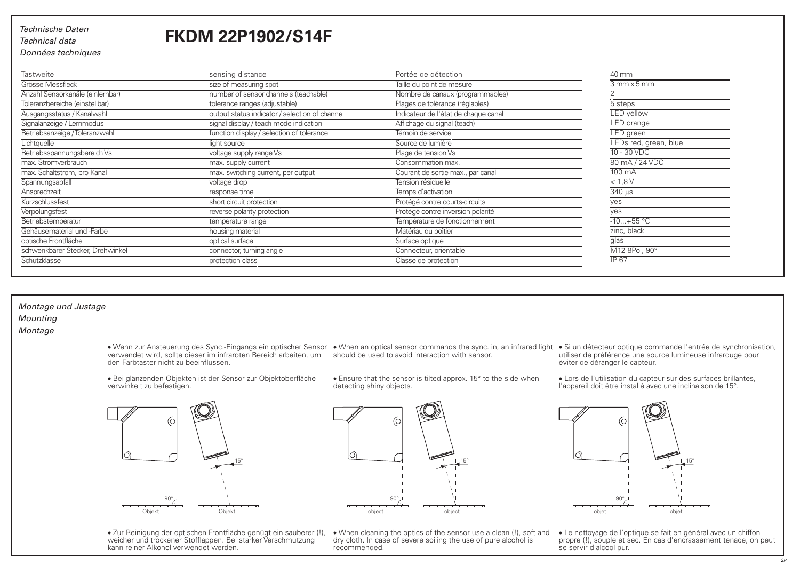## *Technische Daten Technical data*

# **FKDM 22P1902/S14F**

*Données techniques*

| <b>Tastweite</b>                 | sensing distance                               | Portée de détection                  | 40 mm                                                     |
|----------------------------------|------------------------------------------------|--------------------------------------|-----------------------------------------------------------|
| Grösse Messfleck                 | size of measuring spot                         | Taille du point de mesure            | $3$ mm $\times$ 5 mm                                      |
| Anzahl Sensorkanäle (einlernbar) | number of sensor channels (teachable)          | Nombre de canaux (programmables)     |                                                           |
| Toleranzbereiche (einstellbar)   | tolerance ranges (adjustable)                  | Plages de tolérance (réglables)      | 5 steps                                                   |
| Ausgangsstatus / Kanalwahl       | output status indicator / selection of channel | Indicateur de l'état de chaque canal | <b>LED</b> yellow                                         |
| Signalanzeige / Lernmodus        | signal display / teach mode indication         | Affichage du signal (teach)          | LED orange                                                |
| Betriebsanzeige / Toleranzwahl   | function display / selection of tolerance      | Témoin de service                    | LED green                                                 |
| Lichtquelle                      | light source                                   | Source de lumière                    | LEDs red, green, blue                                     |
| Betriebsspannungsbereich Vs      | voltage supply range Vs                        | Plage de tension Vs                  | $10 - 30$ VDC                                             |
| max. Stromverbrauch              | max. supply current                            | Consommation max.                    | 80 mA / 24 VDC                                            |
| max. Schaltstrom, pro Kanal      | max. switching current, per output             | Courant de sortie max., par canal    | $100 \text{ mA}$                                          |
| Spannungsabfall                  | voltage drop                                   | Tension résiduelle                   | < 1,8V                                                    |
| Ansprechzeit                     | response time                                  | Temps d'activation                   | $\frac{340 \text{ }\mu\text{s}}{340 \text{ }\mu\text{s}}$ |
| Kurzschlussfest                  | short circuit protection                       | Protégé contre courts-circuits       | yes                                                       |
| Verpolungsfest                   | reverse polarity protection                    | Protégé contre inversion polarité    | ves                                                       |
| Betriebstemperatur               | temperature range                              | Température de fonctionnement        | $-10+55 °C$                                               |
| Gehäusematerial und -Farbe       | housing material                               | Matériau du boîtier                  | zinc, black                                               |
| optische Frontfläche             | optical surface                                | Surface optique                      | glas                                                      |
| schwenkbarer Stecker, Drehwinkel | connector, turning angle                       | Connecteur, orientable               | M12 8Pol, 90°                                             |
| Schutzklasse                     | protection class                               | Classe de protection                 | <b>IP 67</b>                                              |

## *Montage und Justage Mounting*

*Montage*

lo 15° 90° Objekt Objekt

verwinkelt zu befestigen.

· Zur Reinigung der optischen Frontfläche genügt ein sauberer (!), weicher und trockener Stofflappen. Bei starker Verschmutzung kann reiner Alkohol verwendet werden.

· Bei glänzenden Objekten ist der Sensor zur Objektoberfläche

· Wenn zur Ansteuerung des Sync.-Eingangs ein optischer Sensor verwendet wird, sollte dieser im infraroten Bereich arbeiten, um den Farbtaster nicht zu beeinflussen.

• Ensure that the sensor is tilted approx. 15° to the side when detecting shiny objects.

- When an optical sensor commands the sync. in, an infrared light Si un détecteur optique commande l'entrée de synchronisation,<br>should be used to avoid interaction with sensor. utiliser de utiliser de préférence une source lumineuse infrarouge pour<br>éviter de déranger le capteur.
	- · Lors de l'utilisation du capteur sur des surfaces brillantes, l'appareil doit être installé avec une inclinaison de 15°.



· Le nettoyage de l'optique se fait en général avec un chiffon propre (!), souple et sec. En cas d'encrassement tenace, on peut se servir d'alcool pur.



· When cleaning the optics of the sensor use a clean (!), soft and dry cloth. In case of severe soiling the use of pure alcohol is recommended.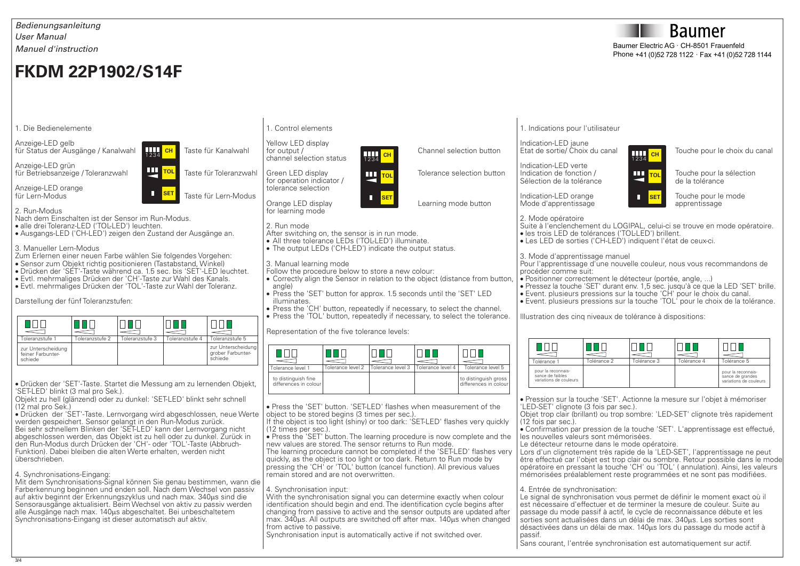## *Bedienungsanleitung Manuel d'instruction User Manual*

# **FKDM 22P1902/S14F**

#### 1. Die Bedienelemente

Anzeige-LED gelb für Status der Ausgänge / Kanalwahl **Tall che Taste für Kanalwahl** 

Anzeige-LED grün für Betriebsanzeige / Toleranzwahl Taste für Toleranzwahl

Anzeige-LED orange<br>für Lern-Modus

2. Run-Modus

Nach dem Einschalten ist der Sensor im Run-Modus.

· alle drei Toleranz-LED ('TOL-LED') leuchten.

· Ausgangs-LED ('CH-LED') zeigen den Zustand der Ausgänge an.

1234 **CH**

 $\bigoplus$ 

**SET**

**T** SET Taste für Lern-Modus

3. Manueller Lern-Modus

- Zum Erlernen einer neuen Farbe wählen Sie folgendes Vorgehen:
- · Sensor zum Objekt richtig positionieren (Tastabstand, Winkel)
- · Drücken der 'SET'-Taste während ca. 1.5 sec. bis 'SET'-LED leuchtet.
- · Evtl. mehrmaliges Drücken der 'CH'-Taste zur Wahl des Kanals.
- · Evtl. mehrmaliges Drücken der 'TOL'-Taste zur Wahl der Toleranz.

Darstellung der fünf Toleranzstufen:

| Toleranzstufe 1                                    | Toleranzstufe 2 | Toleranzstufe 3 | Toleranzstufe 4 | Toleranzstufe 5                                    |
|----------------------------------------------------|-----------------|-----------------|-----------------|----------------------------------------------------|
| zur Unterscheidung<br>feiner Farbunter-<br>schiede |                 |                 |                 | zur Unterscheidung<br>grober Farbunter-<br>schiede |

· Drücken der 'SET'-Taste. Startet die Messung am zu lernenden Objekt, 'SET-LED' blinkt (3 mal pro Sek.).

Objekt zu hell (glänzend) oder zu dunkel: 'SET-LED' blinkt sehr schnell (12 mal pro Sek.)

· Drücken der 'SET'-Taste. Lernvorgang wird abgeschlossen, neue Werte werden gespeichert. Sensor gelangt in den Run-Modus zurück. Bei sehr schnellem Blinken der 'SET-LED' kann der Lernvorgang nicht abgeschlossen werden, das Objekt ist zu hell oder zu dunkel. Zurück in

den Run-Modus durch Drücken der 'CH'- oder 'TOL'-Taste (Abbruch-Funktion). Dabei bleiben die alten Werte erhalten, werden nicht überschrieben.

## 4. Synchronisations-Eingang:

Mit dem Synchronisations-Signal können Sie genau bestimmen, wann die Farberkennung beginnen und enden soll. Nach dem Wechsel von passiv auf aktiv beginnt der Erkennungszyklus und nach max. 340us sind die Sensorausgänge aktualisiert. Beim Wechsel von aktiv zu passiv werden alle Ausgänge nach max. 140us abgeschaltet. Bei unbeschaltetem Synchronisations-Eingang ist dieser automatisch auf aktiv.

#### 1. Control elements

Yellow LED display<br>for output / channel selection status

Green LED display **THE TOLE TO THE TOLER TO THE TO A TOLERATION** for operation indicator / tolerance selection

Orange LED display Learning mode button for learning mode

#### 2. Run mode

- After switching on, the sensor is in run mode.
- · All three tolerance LEDs ('TOL-LED') illuminate.
- · The output LEDs ('CH-LED') indicate the output status.

#### 3. Manual learning mode

- Follow the procedure below to store a new colour:
- · Correctly align the Sensor in relation to the object (distance from button, angle)
- · Press the 'SET' button for approx. 1.5 seconds until the 'SET' LED illuminates.
- · Press the 'CH' button, repeatedly if necessary, to select the channel.
- · Press the 'TOL' button, repeatedly if necessary, to select the tolerance.

Representation of the five tolerance levels:

| Tolerance level 1                            | Tolerance level 2 | Tolerance level 3 | Tolerance level 4 | Tolerance level 5                             |
|----------------------------------------------|-------------------|-------------------|-------------------|-----------------------------------------------|
| to distinguish fine<br>differences in colour |                   |                   |                   | to distinguish gross<br>differences in colour |

· Press the 'SET' button. 'SET-LED' flashes when measurement of the object to be stored begins (3 times per sec.).

If the object is too light (shiny) or too dark: 'SET-LED' flashes very quickly (12 times per sec.).

· Press the 'SET' button. The learning procedure is now complete and the new values are stored. The sensor returns to Run mode.

The learning procedure cannot be completed if the 'SET-LED' flashes very quickly, as the object is too light or too dark. Return to Run mode by pressing the 'CH' or 'TOL' button (cancel function). All previous values remain stored and are not overwritten.

#### 4. Synchronisation input:

With the synchronisation signal you can determine exactly when colour identification should begin and end. The identification cycle begins after changing from passive to active and the sensor outputs are updated after max. 340us. All outputs are switched off after max. 140us when changed from active to passive.

Synchronisation input is automatically active if not switched over.

1. Indications pour l'utilisateur

Indication-LED jaune<br>Etat de sortie/ Choix du canal Tourneal Touche pour le choix du canal

Indication-LED verte<br>Indication de fonction / Sélection de la tolérance



**III rou** Touche pour la sélection<br>de la tolérance

Mode d'apprentissage

Indication-LED orange Touche pour le mode<br>Mode d'apprentissage Touche pour le mode de la provincie de la provincie de la provincie de la provincie de l

2. Mode opératoire Suite à l'enclenchement du LOGIPAL, celui-ci se trouve en mode opératoire.

· les trois LED de tolérances ('TOL-LED') brillent.

· Les LED de sorties ('CH-LED') indiquent l'état de ceux-ci.

#### 3. Mode d'apprentissage manuel

Pour l'apprentissage d'une nouvelle couleur, nous vous recommandons de procéder comme suit:

- · Positionner correctement le détecteur (portée, angle, ...)
	- · Pressez la touche 'SET' durant env. 1,5 sec. jusqu'à ce que la LED 'SET' brille.
	- · Event. plusieurs pressions sur la touche 'CH' pour le choix du canal.
	- · Event. plusieurs pressions sur la touche 'TOL' pour le choix de la tolérance.

Illustration des cinq niveaux de tolérance à dispositions:

| Tolérance 1                                                      | <b>Tolérance 2</b> | Tolérance 3 | <b>Tolérance 4</b> | Tolérance 5                                                      |
|------------------------------------------------------------------|--------------------|-------------|--------------------|------------------------------------------------------------------|
| pour la reconnais-<br>sance de faibles<br>variations de couleurs |                    |             |                    | pour la reconnais-<br>sance de grandes<br>variations de couleurs |

· Pression sur la touche 'SET'. Actionne la mesure sur l'objet à mémoriser 'LED-SET' clignote (3 fois par sec.).

Objet trop clair (brillant) ou trop sombre: 'LED-SET' clignote très rapidement (12 fois par sec.).

· Confirmation par pression de la touche 'SET'. L'apprentissage est effectué, les nouvelles valeurs sont mémorisées.

Le détecteur retourne dans le mode opératoire.

Lors d'un clignotement très rapide de la 'LED-SET', l'apprentissage ne peut être effectué car l'objet est trop clair ou sombre. Retour possible dans le mode opératoire en pressant la touche 'CH' ou 'TOL' ( annulation). Ainsi, les valeurs mémorisées préalablement reste programmées et ne sont pas modifiées.

#### 4. Entrée de synchronisation:

Le signal de synchronisation vous permet de définir le moment exact où il est nécessaire d'effectuer et de terminer la mesure de couleur. Suite au passage du mode passif à actif, le cycle de reconnaissance débute et les sorties sont actualisées dans un délai de max. 340us. Les sorties sont désactivées dans un délai de max. 140ms lors du passage du mode actif à passif.

Sans courant, l'entrée synchronisation est automatiquement sur actif.



3/4







Phone +41 (0)52 728 1122 · Fax +41 (0)52 728 1144

# Channel selection button



**SET**